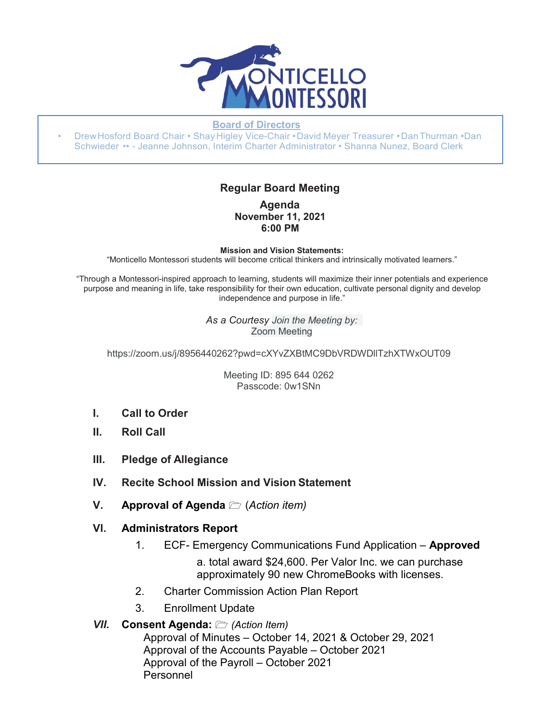

#### **Board of Directors**

• DrewHosford Board Chair • Shay Higley Vice-Chair •David Meyer Treasurer •DanThurman •Dan Schwieder •• - Jeanne Johnson, Interim Charter Administrator • Shanna Nunez, Board Clerk

## **Regular Board Meeting**

**Agenda November 11, 2021 6:00 PM**

**Mission and Vision Statements:**

"Monticello Montessori students will become critical thinkers and intrinsically motivated learners."

"Through a Montessori-inspired approach to learning, students will maximize their inner potentials and experience purpose and meaning in life, take responsibility for their own education, cultivate personal dignity and develop independence and purpose in life."

> *As a Courtesy Join the Meeting by:* Zoom Meeting

https://zoom.us/j/8956440262?pwd=cXYvZXBtMC9DbVRDWDllTzhXTWxOUT09

Meeting ID: 895 644 0262 Passcode: 0w1SNn

- **I. Call to Order**
- **II. Roll Call**
- **III. Pledge of Allegiance**
- **IV. Recite School Mission and Vision Statement**
- **V. Approval of Agenda** (*Action item)*

#### **VI. Administrators Report**

1. ECF- Emergency Communications Fund Application – **Approved**

a. total award \$24,600. Per Valor Inc. we can purchase approximately 90 new ChromeBooks with licenses.

- 2. Charter Commission Action Plan Report
- 3. Enrollment Update
- *VII.* **Consent Agenda:** *(Action Item)*

Approval of Minutes – October 14, 2021 & October 29, 2021 Approval of the Accounts Payable – October 2021 Approval of the Payroll – October 2021 Personnel